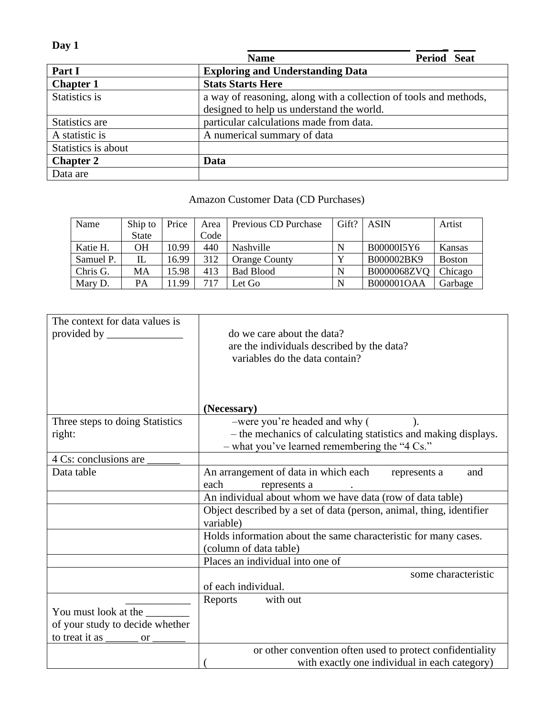| Day 1               |                                                                   |                    |
|---------------------|-------------------------------------------------------------------|--------------------|
|                     | <b>Name</b>                                                       | <b>Period Seat</b> |
| Part I              | <b>Exploring and Understanding Data</b>                           |                    |
| <b>Chapter 1</b>    | <b>Stats Starts Here</b>                                          |                    |
| Statistics is       | a way of reasoning, along with a collection of tools and methods, |                    |
|                     | designed to help us understand the world.                         |                    |
| Statistics are      | particular calculations made from data.                           |                    |
| A statistic is      | A numerical summary of data                                       |                    |
| Statistics is about |                                                                   |                    |
| <b>Chapter 2</b>    | Data                                                              |                    |
| Data are            |                                                                   |                    |

## Amazon Customer Data (CD Purchases)

| Name      | Ship to      | Price | Area | Previous CD Purchase | Gift? | <b>ASIN</b>       | Artist        |
|-----------|--------------|-------|------|----------------------|-------|-------------------|---------------|
|           | <b>State</b> |       | Code |                      |       |                   |               |
| Katie H.  | OН           | 10.99 | 440  | <b>Nashville</b>     | N     | B00000I5Y6        | Kansas        |
| Samuel P. | IL           | 16.99 | 312  | <b>Orange County</b> |       | B000002BK9        | <b>Boston</b> |
| Chris G.  | МA           | 15.98 | 413  | <b>Bad Blood</b>     | N     | B0000068ZVQ       | Chicago       |
| Mary D.   | <b>PA</b>    | 1.99  | 717  | Let Go               | N     | <b>B000001OAA</b> | Garbage       |

| The context for data values is<br>provided by $\_\_\_\_\_\_\_\_\_\_\_\_$ | do we care about the data?<br>are the individuals described by the data?<br>variables do the data contain?        |
|--------------------------------------------------------------------------|-------------------------------------------------------------------------------------------------------------------|
|                                                                          | (Necessary)                                                                                                       |
| Three steps to doing Statistics                                          | -were you're headed and why (<br>$\lambda$ .                                                                      |
| right:                                                                   | - the mechanics of calculating statistics and making displays.<br>$-$ what you've learned remembering the "4 Cs." |
| 4 Cs: conclusions are _                                                  |                                                                                                                   |
| Data table                                                               | An arrangement of data in which each represents a<br>and<br>each<br>represents a                                  |
|                                                                          | An individual about whom we have data (row of data table)                                                         |
|                                                                          | Object described by a set of data (person, animal, thing, identifier<br>variable)                                 |
|                                                                          | Holds information about the same characteristic for many cases.<br>(column of data table)                         |
|                                                                          | Places an individual into one of                                                                                  |
|                                                                          | some characteristic<br>of each individual.                                                                        |
|                                                                          | with out<br>Reports                                                                                               |
| You must look at the                                                     |                                                                                                                   |
| of your study to decide whether                                          |                                                                                                                   |
| to treat it as<br><sub>or</sub>                                          |                                                                                                                   |
|                                                                          | or other convention often used to protect confidentiality<br>with exactly one individual in each category)        |